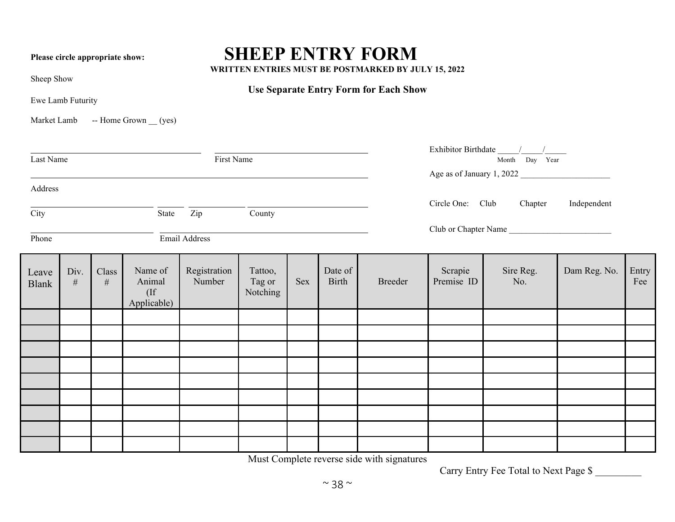## Please circle appropriate show: **SHEEP ENTRY FORM**

**WRITTEN ENTRIES MUST BE POSTMARKED BY JULY 15, 2022**

**Use Separate Entry Form for Each Show**

Sheep Show

Ewe Lamb Futurity

Market Lamb -- Home Grown (yes)

| First Name<br>Last Name |           |               |                                            |                                       |                               |     |                  |         | $\frac{\mbox{Exhibitor Birthdate}}{\mbox{Month}}\frac{\mbox{$\displaystyle ]$}}{\mbox{Day}}\frac{\mbox{$\displaystyle ]$}}{\mbox{Year}}$ |                  |              |              |  |
|-------------------------|-----------|---------------|--------------------------------------------|---------------------------------------|-------------------------------|-----|------------------|---------|------------------------------------------------------------------------------------------------------------------------------------------|------------------|--------------|--------------|--|
|                         |           |               |                                            |                                       |                               |     |                  |         | Age as of January 1, 2022                                                                                                                |                  |              |              |  |
| Address                 |           |               |                                            |                                       |                               |     |                  |         |                                                                                                                                          |                  |              |              |  |
|                         |           |               |                                            |                                       |                               |     |                  |         | Circle One: Club Chapter<br>Independent                                                                                                  |                  |              |              |  |
| City                    |           |               | State                                      | $\overline{Zip}$ $\overline{Country}$ |                               |     |                  |         |                                                                                                                                          |                  |              |              |  |
| Phone<br>Email Address  |           |               |                                            |                                       |                               |     |                  |         | Club or Chapter Name                                                                                                                     |                  |              |              |  |
|                         |           |               |                                            |                                       |                               |     |                  |         |                                                                                                                                          |                  |              |              |  |
| Leave<br><b>Blank</b>   | Div.<br># | Class<br>$\#$ | Name of<br>Animal<br>$($ If<br>Applicable) | Registration<br>Number                | Tattoo,<br>Tag or<br>Notching | Sex | Date of<br>Birth | Breeder | Scrapie<br>Premise ID                                                                                                                    | Sire Reg.<br>No. | Dam Reg. No. | Entry<br>Fee |  |
|                         |           |               |                                            |                                       |                               |     |                  |         |                                                                                                                                          |                  |              |              |  |
|                         |           |               |                                            |                                       |                               |     |                  |         |                                                                                                                                          |                  |              |              |  |
|                         |           |               |                                            |                                       |                               |     |                  |         |                                                                                                                                          |                  |              |              |  |
|                         |           |               |                                            |                                       |                               |     |                  |         |                                                                                                                                          |                  |              |              |  |
|                         |           |               |                                            |                                       |                               |     |                  |         |                                                                                                                                          |                  |              |              |  |
|                         |           |               |                                            |                                       |                               |     |                  |         |                                                                                                                                          |                  |              |              |  |
|                         |           |               |                                            |                                       |                               |     |                  |         |                                                                                                                                          |                  |              |              |  |
|                         |           |               |                                            |                                       |                               |     |                  |         |                                                                                                                                          |                  |              |              |  |
|                         |           |               |                                            |                                       |                               |     |                  |         |                                                                                                                                          |                  |              |              |  |

Must Complete reverse side with signatures

Carry Entry Fee Total to Next Page \$ \_\_\_\_\_\_\_\_\_